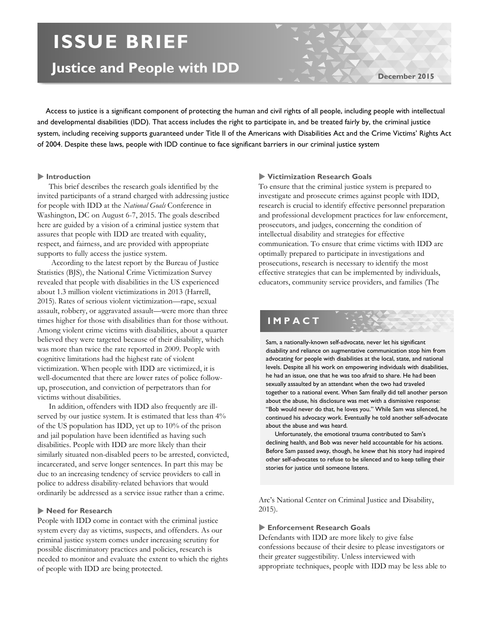# **ISSUE BRIEF**

# **Justice and People with IDD**

**December 2015**

 Access to justice is a significant component of protecting the human and civil rights of all people, including people with intellectual and developmental disabilities (IDD). That access includes the right to participate in, and be treated fairly by, the criminal justice system, including receiving supports guaranteed under Title II of the Americans with Disabilities Act and the Crime Victims' Rights Act of 2004. Despite these laws, people with IDD continue to face significant barriers in our criminal justice system

# **Introduction**

This brief describes the research goals identified by the invited participants of a strand charged with addressing justice for people with IDD at the *National Goals* Conference in Washington, DC on August 6-7, 2015. The goals described here are guided by a vision of a criminal justice system that assures that people with IDD are treated with equality, respect, and fairness, and are provided with appropriate supports to fully access the justice system.

According to the latest report by the Bureau of Justice Statistics (BJS), the National Crime Victimization Survey revealed that people with disabilities in the US experienced about 1.3 million violent victimizations in 2013 (Harrell, 2015). Rates of serious violent victimization—rape, sexual assault, robbery, or aggravated assault—were more than three times higher for those with disabilities than for those without. Among violent crime victims with disabilities, about a quarter believed they were targeted because of their disability, which was more than twice the rate reported in 2009. People with cognitive limitations had the highest rate of violent victimization. When people with IDD are victimized, it is well-documented that there are lower rates of police followup, prosecution, and conviction of perpetrators than for victims without disabilities.

In addition, offenders with IDD also frequently are illserved by our justice system. It is estimated that less than  $4\%$ of the US population has IDD, yet up to 10% of the prison and jail population have been identified as having such disabilities. People with IDD are more likely than their similarly situated non-disabled peers to be arrested, convicted, incarcerated, and serve longer sentences. In part this may be due to an increasing tendency of service providers to call in police to address disability-related behaviors that would ordinarily be addressed as a service issue rather than a crime.

# **Need for Research**

People with IDD come in contact with the criminal justice system every day as victims, suspects, and offenders. As our criminal justice system comes under increasing scrutiny for possible discriminatory practices and policies, research is needed to monitor and evaluate the extent to which the rights of people with IDD are being protected.

#### **Victimization Research Goals**

To ensure that the criminal justice system is prepared to investigate and prosecute crimes against people with IDD, research is crucial to identify effective personnel preparation and professional development practices for law enforcement, prosecutors, and judges, concerning the condition of intellectual disability and strategies for effective communication. To ensure that crime victims with IDD are optimally prepared to participate in investigations and prosecutions, research is necessary to identify the most effective strategies that can be implemented by individuals, educators, community service providers, and families (The

# **IMPACT**

Sam, a nationally-known self-advocate, never let his significant disability and reliance on augmentative communication stop him from advocating for people with disabilities at the local, state, and national levels. Despite all his work on empowering individuals with disabilities, he had an issue, one that he was too afraid to share. He had been sexually assaulted by an attendant when the two had traveled together to a national event. When Sam finally did tell another person about the abuse, his disclosure was met with a dismissive response: "Bob would never do that, he loves you." While Sam was silenced, he continued his advocacy work. Eventually he told another self-advocate about the abuse and was heard.

 Unfortunately, the emotional trauma contributed to Sam's declining health, and Bob was never held accountable for his actions. Before Sam passed away, though, he knew that his story had inspired other self-advocates to refuse to be silenced and to keep telling their stories for justice until someone listens.

Arc's National Center on Criminal Justice and Disability, 2015).

### **Enforcement Research Goals**

Defendants with IDD are more likely to give false confessions because of their desire to please investigators or their greater suggestibility. Unless interviewed with appropriate techniques, people with IDD may be less able to